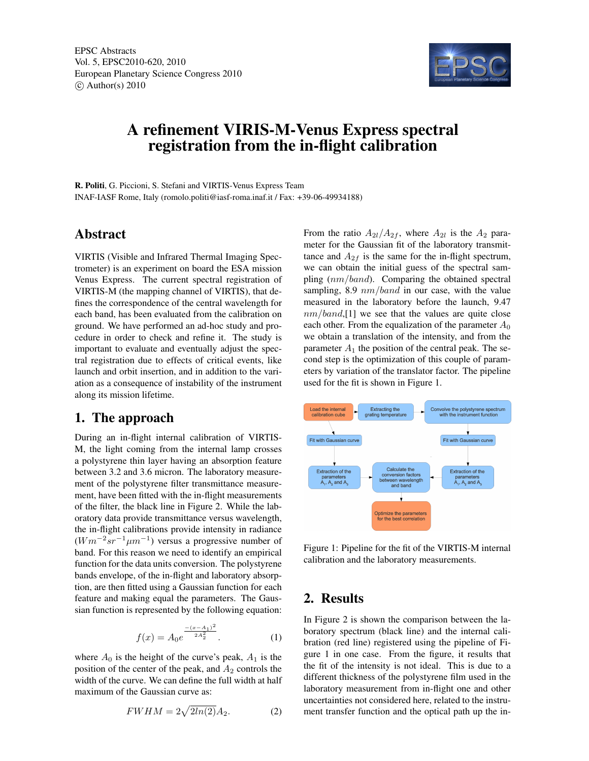

# A refinement VIRIS-M-Venus Express spectral registration from the in-flight calibration

R. Politi, G. Piccioni, S. Stefani and VIRTIS-Venus Express Team INAF-IASF Rome, Italy (romolo.politi@iasf-roma.inaf.it / Fax: +39-06-49934188)

#### Abstract

VIRTIS (Visible and Infrared Thermal Imaging Spectrometer) is an experiment on board the ESA mission Venus Express. The current spectral registration of VIRTIS-M (the mapping channel of VIRTIS), that defines the correspondence of the central wavelength for each band, has been evaluated from the calibration on ground. We have performed an ad-hoc study and procedure in order to check and refine it. The study is important to evaluate and eventually adjust the spectral registration due to effects of critical events, like launch and orbit insertion, and in addition to the variation as a consequence of instability of the instrument along its mission lifetime.

## 1. The approach

During an in-flight internal calibration of VIRTIS-M, the light coming from the internal lamp crosses a polystyrene thin layer having an absorption feature between 3.2 and 3.6 micron. The laboratory measurement of the polystyrene filter transmittance measurement, have been fitted with the in-flight measurements of the filter, the black line in Figure 2. While the laboratory data provide transmittance versus wavelength, the in-flight calibrations provide intensity in radiance  $(Wm^{-2}sr^{-1}\mu m^{-1})$  versus a progressive number of band. For this reason we need to identify an empirical function for the data units conversion. The polystyrene bands envelope, of the in-flight and laboratory absorption, are then fitted using a Gaussian function for each feature and making equal the parameters. The Gaussian function is represented by the following equation:

$$
f(x) = A_0 e^{\frac{-(x - A_1)^2}{2A_2^2}}.
$$
 (1)

where  $A_0$  is the height of the curve's peak,  $A_1$  is the position of the center of the peak, and  $A_2$  controls the width of the curve. We can define the full width at half maximum of the Gaussian curve as:

$$
FWHM = 2\sqrt{2ln(2)}A_2.
$$
 (2)

From the ratio  $A_{2l}/A_{2f}$ , where  $A_{2l}$  is the  $A_2$  parameter for the Gaussian fit of the laboratory transmittance and  $A_{2f}$  is the same for the in-flight spectrum, we can obtain the initial guess of the spectral sampling  $(nm/band)$ . Comparing the obtained spectral sampling, 8.9  $nm/band$  in our case, with the value measured in the laboratory before the launch, 9.47  $nm/band$ , [1] we see that the values are quite close each other. From the equalization of the parameter  $A_0$ we obtain a translation of the intensity, and from the parameter  $A_1$  the position of the central peak. The second step is the optimization of this couple of parameters by variation of the translator factor. The pipeline used for the fit is shown in Figure 1.



Figure 1: Pipeline for the fit of the VIRTIS-M internal calibration and the laboratory measurements.

## 2. Results

In Figure 2 is shown the comparison between the laboratory spectrum (black line) and the internal calibration (red line) registered using the pipeline of Figure 1 in one case. From the figure, it results that the fit of the intensity is not ideal. This is due to a different thickness of the polystyrene film used in the laboratory measurement from in-flight one and other uncertainties not considered here, related to the instrument transfer function and the optical path up the in-